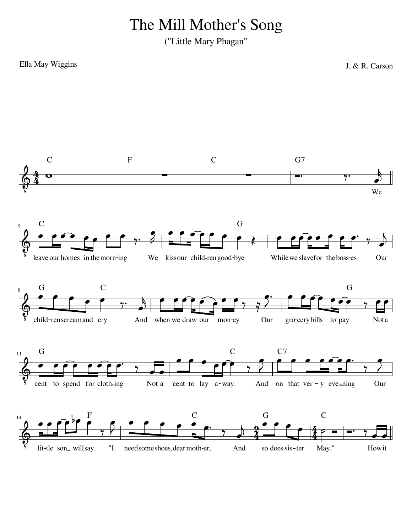#### The Mill Mother's Song

("Little Mary Phagan"

Ella May Wiggins

J. & R. Carson

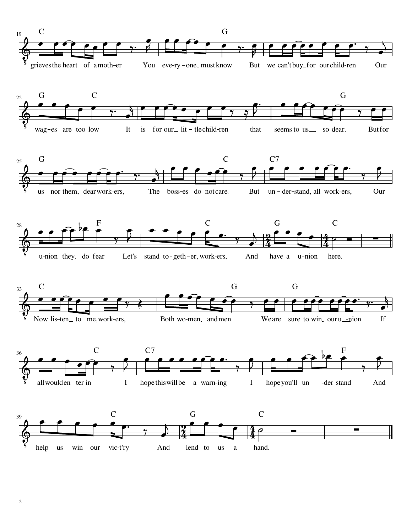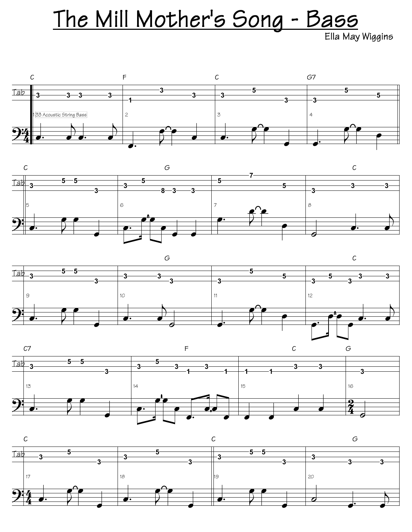### <u> The Mill Mother's Song - Bass</u>

Ella May Wiggins









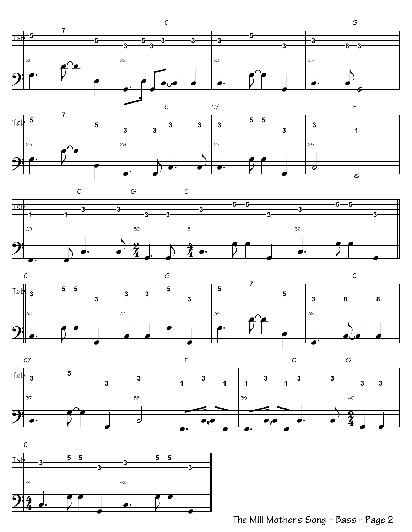









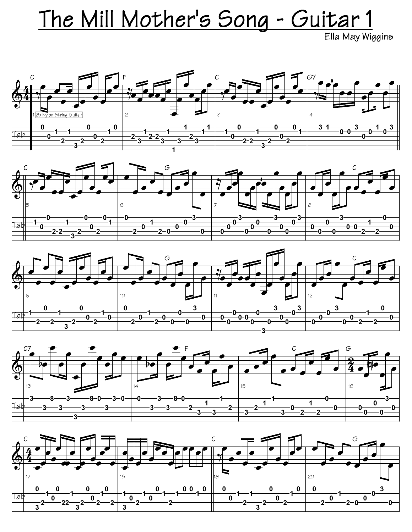## <u> The Mill Mother's Song - Guitar 1</u>

Ella May Wiggins









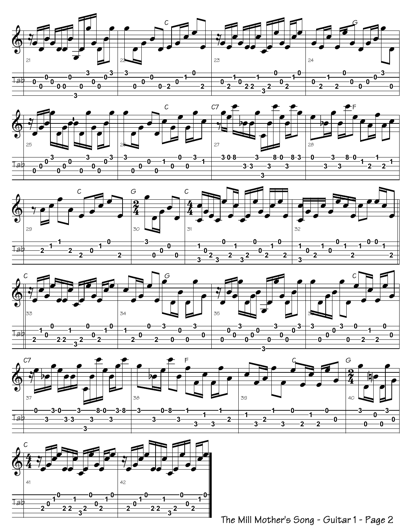











The Mill Mother's Song - Guitar 1 - Page 2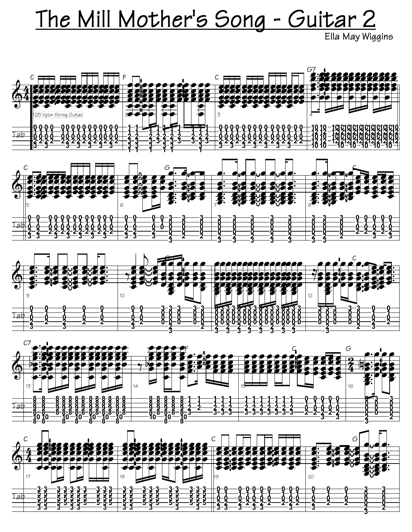# The Mill Mother's Song - Guitar 2









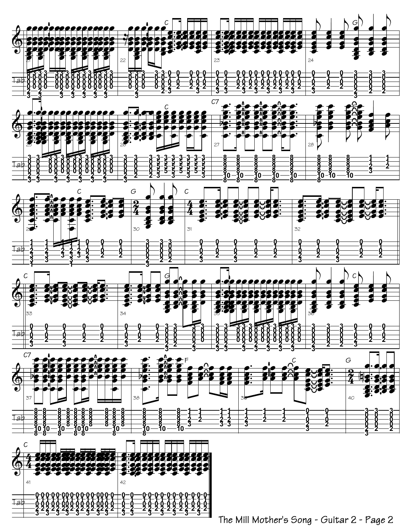

The Mill Mother's Song - Guitar 2 - Page 2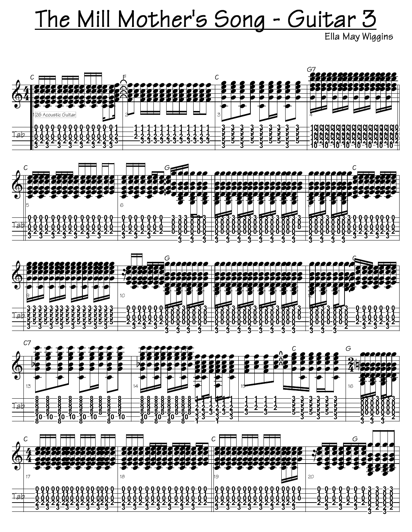#### <u> The Mill Mother's Song - Guitar 3</u>

Ella May Wiggins









|     |  |  | Г |  |                | ◘ | . . | ---<br>. . | $\sim$ |  |  |  | - 11 |  | דר |    | -7 |  | 7 |  |  |
|-----|--|--|---|--|----------------|---|-----|------------|--------|--|--|--|------|--|----|----|----|--|---|--|--|
| Tab |  |  |   |  | 1 <sup>o</sup> |   |     |            |        |  |  |  |      |  |    | 20 |    |  |   |  |  |